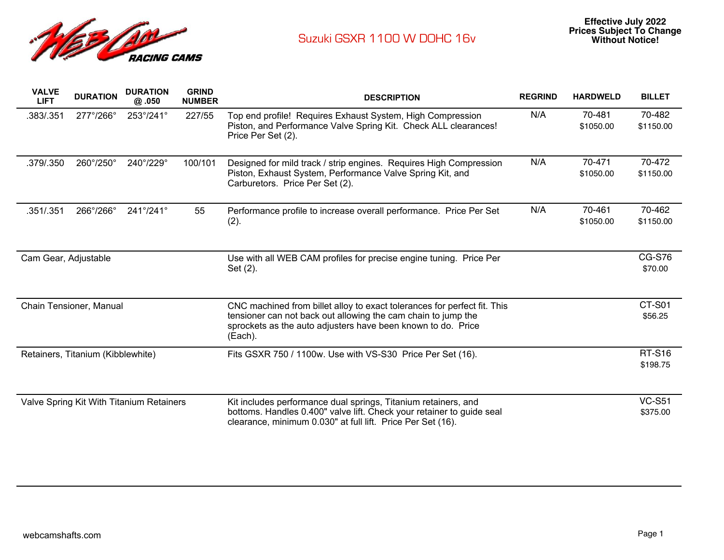

| <b>VALVE</b><br><b>LIFT</b>              | <b>DURATION</b> | <b>DURATION</b><br>@.050  | <b>GRIND</b><br><b>NUMBER</b> | <b>DESCRIPTION</b>                                                                                                                                                                                                   | <b>REGRIND</b> | <b>HARDWELD</b>     | <b>BILLET</b>             |
|------------------------------------------|-----------------|---------------------------|-------------------------------|----------------------------------------------------------------------------------------------------------------------------------------------------------------------------------------------------------------------|----------------|---------------------|---------------------------|
| .383/.351                                | 277°/266°       | 253°/241°                 | 227/55                        | Top end profile! Requires Exhaust System, High Compression<br>Piston, and Performance Valve Spring Kit. Check ALL clearances!<br>Price Per Set (2).                                                                  | N/A            | 70-481<br>\$1050.00 | 70-482<br>\$1150.00       |
| .379/.350                                | 260°/250°       | 240°/229°                 | 100/101                       | Designed for mild track / strip engines. Requires High Compression<br>Piston, Exhaust System, Performance Valve Spring Kit, and<br>Carburetors. Price Per Set (2).                                                   | N/A            | 70-471<br>\$1050.00 | 70-472<br>\$1150.00       |
| .351/.351                                | 266°/266°       | $241^{\circ}/241^{\circ}$ | 55                            | Performance profile to increase overall performance. Price Per Set<br>(2).                                                                                                                                           | N/A            | 70-461<br>\$1050.00 | 70-462<br>\$1150.00       |
| Cam Gear, Adjustable                     |                 |                           |                               | Use with all WEB CAM profiles for precise engine tuning. Price Per<br>Set (2).                                                                                                                                       |                |                     | <b>CG-S76</b><br>\$70.00  |
| Chain Tensioner, Manual                  |                 |                           |                               | CNC machined from billet alloy to exact tolerances for perfect fit. This<br>tensioner can not back out allowing the cam chain to jump the<br>sprockets as the auto adjusters have been known to do. Price<br>(Each). |                |                     | CT-S01<br>\$56.25         |
| Retainers, Titanium (Kibblewhite)        |                 |                           |                               | Fits GSXR 750 / 1100w. Use with VS-S30 Price Per Set (16).                                                                                                                                                           |                |                     | <b>RT-S16</b><br>\$198.75 |
| Valve Spring Kit With Titanium Retainers |                 |                           |                               | Kit includes performance dual springs, Titanium retainers, and<br>bottoms. Handles 0.400" valve lift. Check your retainer to guide seal<br>clearance, minimum 0.030" at full lift. Price Per Set (16).               |                |                     | <b>VC-S51</b><br>\$375.00 |